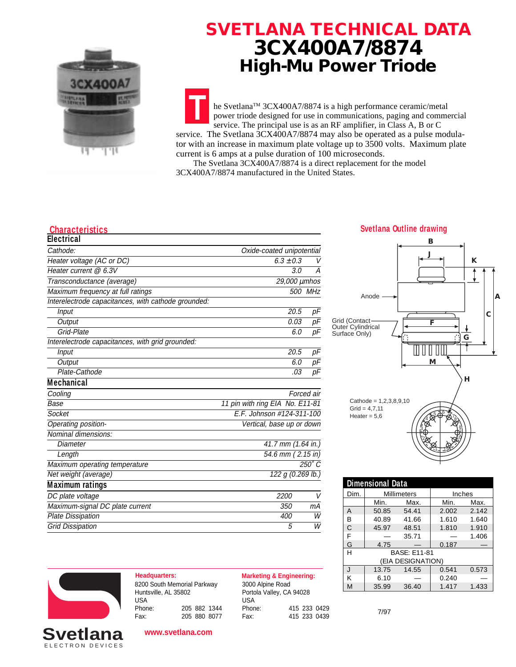

## **SVETLANA TECHNICAL DATA 3CX400A7/8874 High-Mu Power Triode**

**T** he Svetlana™ 3CX400A7/8874 is a high performance ceramic/metal power triode designed for use in communications, paging and commercial service. The principal use is as an RF amplifier, in Class A, B or C service. The Svetlana  $3CX400A7/8874$  may also be operated as a pulse modulator with an increase in maximum plate voltage up to 3500 volts. Maximum plate current is 6 amps at a pulse duration of 100 microseconds.

 The Svetlana 3CX400A7/8874 is a direct replacement for the model 3CX400A7/8874 manufactured in the United States.

| <b>Electrical</b>                                   |                                 |               |
|-----------------------------------------------------|---------------------------------|---------------|
| Cathode:                                            | Oxide-coated unipotential       |               |
| Heater voltage (AC or DC)                           | $6.3 \pm 0.3$                   | V             |
| Heater current @ 6.3V                               | 3.0                             | A             |
| Transconductance (average)                          | 29,000 µmhos                    |               |
| Maximum frequency at full ratings                   |                                 | 500 MHz       |
| Interelectrode capacitances, with cathode grounded: |                                 |               |
| Input                                               | 20.5                            | рF            |
| Output                                              | 0.03                            | pF            |
| Grid-Plate                                          | 6.0                             | pF            |
| Interelectrode capacitances, with grid grounded:    |                                 |               |
| Input                                               | 20.5                            | pF            |
| Output                                              | 6.0                             | рF            |
| Plate-Cathode                                       | .03                             | pF            |
| <b>Mechanical</b>                                   |                                 |               |
| Cooling                                             |                                 | Forced air    |
| Base                                                | 11 pin with ring EIA No. E11-81 |               |
| Socket                                              | E.F. Johnson #124-311-100       |               |
| Operating position-                                 | Vertical, base up or down       |               |
| Nominal dimensions:                                 |                                 |               |
| Diameter                                            | 41.7 mm (1.64 in.)              |               |
| Length                                              | $\overline{54.6}$ mm (2.15 in)  |               |
| Maximum operating temperature                       |                                 | $250^\circ C$ |
| Net weight (average)                                | 122 g (0.269 lb.)               |               |
| <b>Maximum ratings</b>                              |                                 |               |
| DC plate voltage                                    | 2200                            | V             |
| Maximum-signal DC plate current                     | 350                             | mА            |
| <b>Plate Dissipation</b>                            | 400                             | W             |
| <b>Grid Dissipation</b>                             | 5                               | W             |
|                                                     |                                 |               |

#### **Characteristics Svetlana Outline drawing**



| <b>Dimensional Data</b> |                     |       |        |       |
|-------------------------|---------------------|-------|--------|-------|
| Dim.                    | <b>Millimeters</b>  |       | Inches |       |
|                         | Min.                | Max.  | Min.   | Max.  |
| Α                       | 50.85               | 54.41 | 2.002  | 2.142 |
| В                       | 40.89               | 41.66 | 1.610  | 1.640 |
| C                       | 45.97               | 48.51 | 1.810  | 1.910 |
| F                       |                     | 35.71 |        | 1.406 |
| G                       | 4.75                |       | 0.187  |       |
| Н                       | <b>BASE: F11-81</b> |       |        |       |
| (EIA DESIGNATION)       |                     |       |        |       |
| $\mathbf{J}$            | 13.75               | 14.55 | 0.541  | 0.573 |
| К                       | 6.10                |       | 0.240  |       |
| M                       | 35.99               | 36.40 | 1.417  | 1.433 |



**Headquarters: Marketing & Engineering:** 8200 South Memorial Parkway Huntsville, AL 35802 USA<br>Phone: Phone: 205 882 1344 Fax: 205 880 8077

3000 Alpine Road Portola Valley, CA 94028 USA<br>Phone: Phone: 415 233 0429

Fax: 415 233 0439

7/97



**www.svetlana.com**